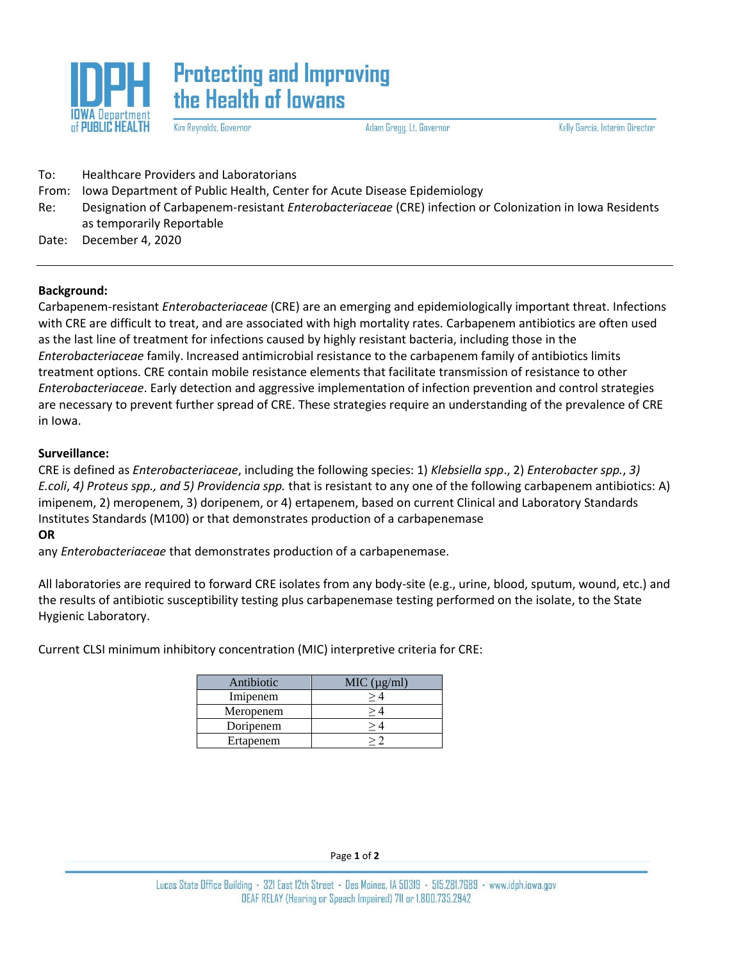

**Protecting and Improving** the Health of lowans

Kim Reynolds, Governor

Adam Gregg, Lt. Governor

Kelly Garcia, Interim Director

| To:   | <b>Healthcare Providers and Laboratorians</b>                                                                                                |  |
|-------|----------------------------------------------------------------------------------------------------------------------------------------------|--|
| From: | Iowa Department of Public Health, Center for Acute Disease Epidemiology                                                                      |  |
| Re:   | Designation of Carbapenem-resistant <i>Enterobacteriaceae</i> (CRE) infection or Colonization in Iowa Residents<br>as temporarily Reportable |  |
| Date: | December 4, 2020                                                                                                                             |  |

## **Background:**

Carbapenem-resistant *Enterobacteriaceae* (CRE) are an emerging and epidemiologically important threat. Infections with CRE are difficult to treat, and are associated with high mortality rates. Carbapenem antibiotics are often used as the last line of treatment for infections caused by highly resistant bacteria, including those in the *Enterobacteriaceae* family. Increased antimicrobial resistance to the carbapenem family of antibiotics limits treatment options. CRE contain mobile resistance elements that facilitate transmission of resistance to other *Enterobacteriaceae*. Early detection and aggressive implementation of infection prevention and control strategies are necessary to prevent further spread of CRE. These strategies require an understanding of the prevalence of CRE in Iowa.

## **Surveillance:**

CRE is defined as *Enterobacteriaceae*, including the following species: 1) *Klebsiella spp*., 2) *Enterobacter spp.*, *3) E.coli*, *4) Proteus spp., and 5) Providencia spp.* that is resistant to any one of the following carbapenem antibiotics: A) imipenem, 2) meropenem, 3) doripenem, or 4) ertapenem, based on current Clinical and Laboratory Standards Institutes Standards (M100) or that demonstrates production of a carbapenemase

#### **OR**

any *Enterobacteriaceae* that demonstrates production of a carbapenemase.

All laboratories are required to forward CRE isolates from any body-site (e.g., urine, blood, sputum, wound, etc.) and the results of antibiotic susceptibility testing plus carbapenemase testing performed on the isolate, to the State Hygienic Laboratory.

Current CLSI minimum inhibitory concentration (MIC) interpretive criteria for CRE:

| Antibiotic | MIC (µg/ml) |  |
|------------|-------------|--|
| Imipenem   |             |  |
| Meropenem  |             |  |
| Doripenem  |             |  |
| Ertapenem  |             |  |